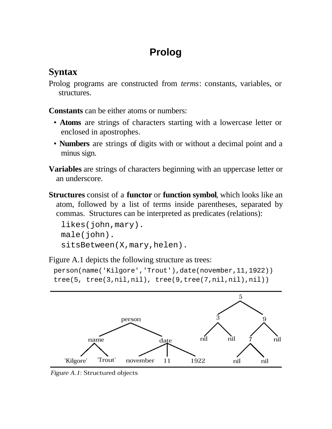# **Prolog**

## **Syntax**

Prolog programs are constructed from *terms*: constants, variables, or structures.

**Constants** can be either atoms or numbers:

- **Atoms** are strings of characters starting with a lowercase letter or enclosed in apostrophes.
- **Numbers** are strings of digits with or without a decimal point and a minus sign.

**Variables** are strings of characters beginning with an uppercase letter or an underscore.

**Structures** consist of a **functor** or **function symbol**, which looks like an atom, followed by a list of terms inside parentheses, separated by commas. Structures can be interpreted as predicates (relations):

```
likes(john,mary).
male(john).
sitsBetween(X,mary,helen).
```
Figure A.1 depicts the following structure as trees:

```
person(name('Kilgore','Trout'),date(november,11,1922))
tree(5, tree(3, nil, nil), tree(9, tree(7, nil, nil), nil))
```


Figure A.1: Structured objects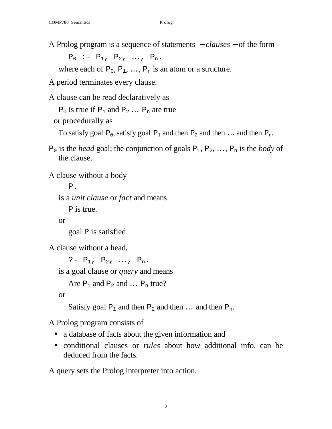A Prolog program is a sequence of statements − *clauses* − of the form

 $P_0$  :-  $P_1$ ,  $P_2$ , ...,  $P_n$ .

where each of  $P_0$ ,  $P_1$ , ...,  $P_n$  is an atom or a structure.

A period terminates every clause.

A clause can be read declaratively as

 $P_0$  is true if  $P_1$  and  $P_2$  ...  $P_n$  are true

or procedurally as

To satisfy goal  $P_0$ , satisfy goal  $P_1$  and then  $P_2$  and then ... and then  $P_n$ .

 $P_0$  is the *head* goal; the conjunction of goals  $P_1, P_2, ..., P_n$  is the *body* of the clause.

A clause without a body

P. is a *unit clause* or *fact* and means P is true.

or

goal P is satisfied.

A clause without a head,

```
?- P_1, P_2, ..., P_n.
is a goal clause or query and means
   Are P_1 and P_2 and \ldots P_n true?
```
or

Satisfy goal  $P_1$  and then  $P_2$  and then ... and then  $P_n$ .

A Prolog program consists of

- a database of facts about the given information and
- conditional clauses or *rules* about how additional info. can be deduced from the facts.

A query sets the Prolog interpreter into action.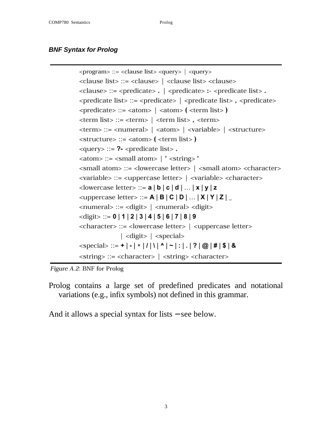#### *BNF Syntax for Prolog*

```
<program> ::= <clause list> <query> | <query>
<clause list> ::= <clause> | <clause list> <clause>
<clause> ::= <predicate> . | <predicate> :- <predicate list>.
\epsilon <predicate list> ::= <predicate> | <predicate list>, <predicate>
\epsilon <predicate> ::= <atom> | <atom> ( <term list>
\epsilon <term list> ::= <term> | <term list>, <term>
\langle \text{term} \rangle ::= \langle \text{numeral} \rangle \mid \langle \text{atom} \rangle \mid \langle \text{variable} \rangle \mid \langle \text{structure} \rangle\langlestructure> ::= \langleatom> \langle \langle \langle term list> \rangle\langlequery> ::= ?- \langlepredicate list>.
\langle \text{atom} \rangle ::= \langle \text{small atom} \rangle \mid' \langle \text{string} \rangle'<small atom> ::= <lowercase letter> | <small atom> <character>
<variable> ::= <uppercase letter> | <variable> <character>
\lelowercase letter> ::= a | b | c | d | ... | x | y | z
<uppercase letter> ::= A \mid B \mid C \mid D \mid ... \mid X \mid Y \mid Z \mid<numeral> ::= <digit> | <numeral> <digit>
\langle \text{digit} \rangle ::= 0 \mid 1 \mid 2 \mid 3 \mid 4 \mid 5 \mid 6 \mid 7 \mid 8 \mid 9<character> ::= <lowercase letter> | <uppercase letter>
                  \vert <digit> \vert <special>
<special> ::= + | - | * | / | \ | ^ | ~ | : | . | ? | @ | # | $ | &
<string> ::= <character> | <string> <character>
```
Figure A.2: BNF for Prolog

Prolog contains a large set of predefined predicates and notational variations (e.g., infix symbols) not defined in this grammar.

And it allows a special syntax for lists − see below.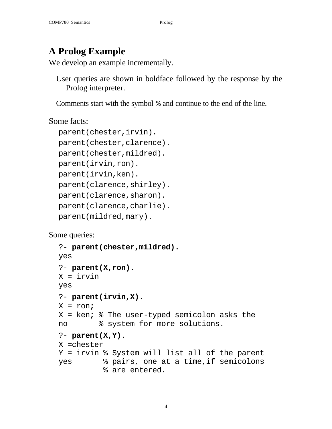## **A Prolog Example**

We develop an example incrementally.

User queries are shown in boldface followed by the response by the Prolog interpreter.

Comments start with the symbol % and continue to the end of the line.

Some facts:

```
parent(chester,irvin).
parent(chester, clarence).
parent(chester,mildred).
parent(irvin,ron).
parent(irvin,ken).
parent(clarence,shirley).
parent(clarence,sharon).
parent(clarence,charlie).
parent(mildred,mary).
```
Some queries:

```
?- parent(chester,mildred).
yes
?- parent(X,ron).
X = irvin
yes
?- parent(irvin,X).
X = ron;
X = ken; % The user-typed semicolon asks the 
no % system for more solutions.
?- parent(X,Y).
X =chester
Y = irvin % System will list all of the parent
yes % pairs, one at a time,if semicolons
           % are entered.
```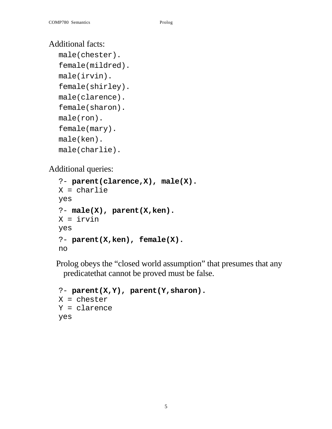### Additional facts:

```
male(chester).
female(mildred).
male(irvin).
female(shirley).
male(clarence).
female(sharon).
male(ron).
female(mary).
male(ken).
male(charlie).
```
Additional queries:

```
?- parent(clarence,X), male(X).
X = charlie
yes
?- male(X), parent(X,ken).
X = irvin
yes
?- parent(X,ken), female(X).
no
```
Prolog obeys the "closed world assumption" that presumes that any predicatethat cannot be proved must be false.

```
?- parent(X,Y), parent(Y,sharon).
X = chester
Y = clarence
yes
```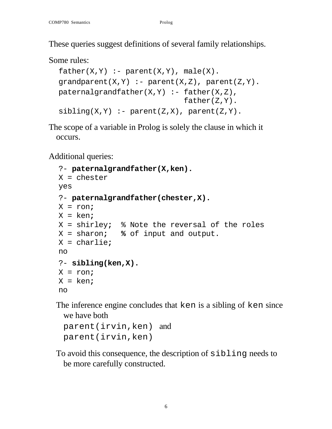These queries suggest definitions of several family relationships.

#### Some rules:

```
father(X, Y) :- parent(X, Y), male(X).
graph(X,Y) :- parent(X,Z), parent(Z,Y).patternalgrandfather(X,Y) :- father(X,Z), father(Z,Y).
sibling(X,Y) :- parent(Z,X), parent(Z,Y).
```
The scope of a variable in Prolog is solely the clause in which it occurs.

Additional queries:

```
?- paternalgrandfather(X,ken).
X = chester
yes
?- paternalgrandfather(chester,X).
X = ron;
X = ken;
X = shirley; % Note the reversal of the roles 
X = sharon; % of input and output.
X = charlie;
no
?- sibling(ken,X).
X = ron;
X = ken;
no
```
The inference engine concludes that ken is a sibling of ken since we have both

```
parent(irvin,ken) and
parent(irvin,ken)
```
To avoid this consequence, the description of sibling needs to be more carefully constructed.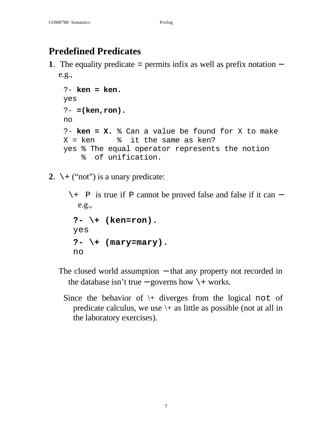## **Predefined Predicates**

**1**. The equality predicate = permits infix as well as prefix notation − e.g.,

```
?- ken = ken.
yes
?- =(ken,ron).
no
?- ken = X. % Can a value be found for X to make 
X = ken \frac{1}{8} it the same as ken?
yes % The equal operator represents the notion
     % of unification.
```
**2.**  $\setminus +$  ("not") is a unary predicate:

```
\+ P is true if P cannot be proved false and false if it can −
  e.g.,
 ?- \+ (ken=ron).
 yes
 ?- \+ (mary=mary).
 no
```
- The closed world assumption − that any property not recorded in the database isn't true – governs how  $\rightarrow$  works.
	- Since the behavior of  $\downarrow$  diverges from the logical not of predicate calculus, we use  $\$  + as little as possible (not at all in the laboratory exercises).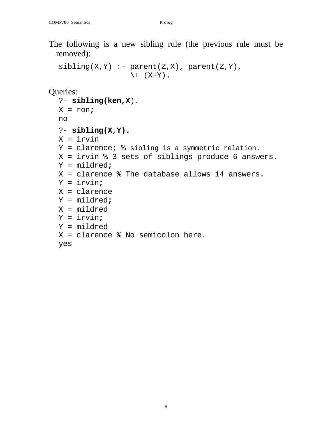The following is a new sibling rule (the previous rule must be removed):

```
sibling(X,Y) :- parent(Z,X), parent(Z,Y)\setminus + (X=Y).
```
Queries:

```
?- sibling(ken,X).
X = ron;
no
?- sibling(X,Y).
X = irvinY = clarence; % sibling is a symmetric relation.
X = irvin % 3 sets of siblings produce 6 answers.
Y = mildred;
X = clarence % The database allows 14 answers.
Y = irvin;
X = clarence
Y = mildred;
X = mildred
Y = irvin;
Y = mildred
X = clarence % No semicolon here.
yes
```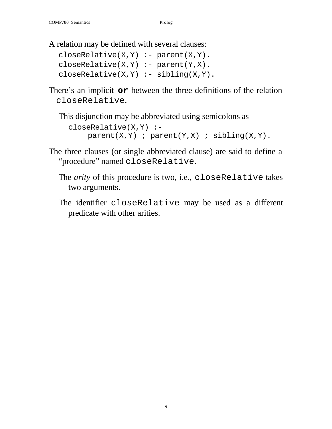A relation may be defined with several clauses:

```
closeRelative(X,Y) :- parent(X,Y).closeRelative(X,Y) :- parent(Y,X).
closeRelative(X,Y) :- sibling(X,Y).
```
There's an implicit **or** between the three definitions of the relation closeRelative.

This disjunction may be abbreviated using semicolons as

```
closeRelative(X,Y) :-
    parent(X,Y) ; parent(Y,X) ; sibling(X,Y).
```
- The three clauses (or single abbreviated clause) are said to define a "procedure" named closeRelative.
	- The *arity* of this procedure is two, i.e., closeRelative takes two arguments.
	- The identifier closeRelative may be used as a different predicate with other arities.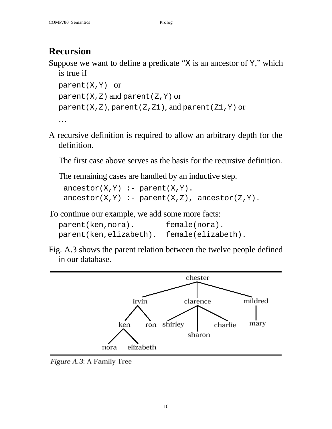## **Recursion**

Suppose we want to define a predicate " $X$  is an ancestor of  $Y$ ," which is true if

```
parent(X,Y) or
parent(X, Z) and parent(Z, Y) or
parent(X,Z), parent(Z,Z1), and parent(Z1,Y) or
…
```
A recursive definition is required to allow an arbitrary depth for the definition.

The first case above serves as the basis for the recursive definition.

The remaining cases are handled by an inductive step.

```
\text{ancestor}(X, Y) \text{ :- parent}(X, Y).
\text{ancestor}(X, Y) \text{ :- parent}(X, Z), ancestor(Z, Y).
```
To continue our example, we add some more facts:

| parent(ken,nora).      | female(nora).      |
|------------------------|--------------------|
| parent(ken,elizabeth). | female(elizabeth). |

Fig. A.3 shows the parent relation between the twelve people defined in our database.



Figure A.3: A Family Tree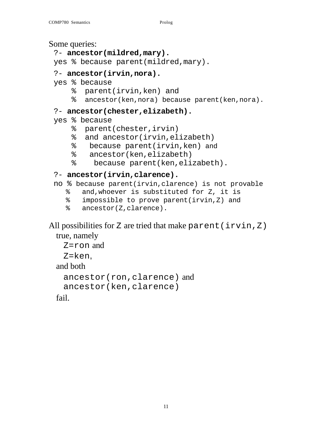Some queries:

```
?- ancestor(mildred,mary).
```
yes % because parent(mildred,mary).

#### ?- **ancestor(irvin,nora).**

yes % because

- % parent(irvin,ken) and
- % ancestor(ken,nora) because parent(ken,nora).

#### ?- **ancestor(chester,elizabeth).**

```
yes % because
```
- % parent(chester,irvin)
- % and ancestor(irvin,elizabeth)
- % because parent(irvin,ken) and
- % ancestor(ken,elizabeth)
- % because parent(ken,elizabeth).

#### ?- **ancestor(irvin,clarence).**

```
no % because parent(irvin,clarence) is not provable
```
- % and,whoever is substituted for Z, it is
- % impossible to prove parent(irvin,Z) and
- % ancestor(Z,clarence).

All possibilities for Z are tried that make parent (irvin, Z) true, namely

```
Z=ron and
 Z=ken,
and both
 ancestor(ron,clarence) and 
 ancestor(ken,clarence)
```
fail.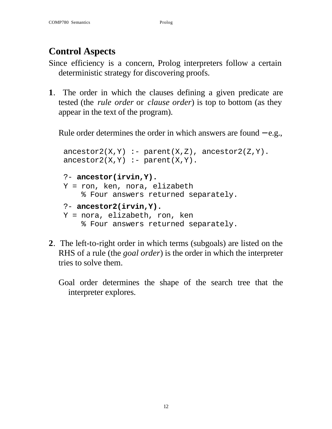# **Control Aspects**

- Since efficiency is a concern, Prolog interpreters follow a certain deterministic strategy for discovering proofs.
- **1**. The order in which the clauses defining a given predicate are tested (the *rule order* or *clause order*) is top to bottom (as they appear in the text of the program).

Rule order determines the order in which answers are found – e.g.,

```
\arccos{tor2(X,Y)} :- parent(X,Z), ancestor2(Z,Y).
\text{ancestor2}(X,Y) \text{ :} \text{ parent}(X,Y).?- ancestor(irvin,Y).
Y = ron, ken, nora, elizabeth
     % Four answers returned separately.
?- ancestor2(irvin,Y).
Y = nora, elizabeth, ron, ken
     % Four answers returned separately.
```
- **2**. The left-to-right order in which terms (subgoals) are listed on the RHS of a rule (the *goal order*) is the order in which the interpreter tries to solve them.
	- Goal order determines the shape of the search tree that the interpreter explores.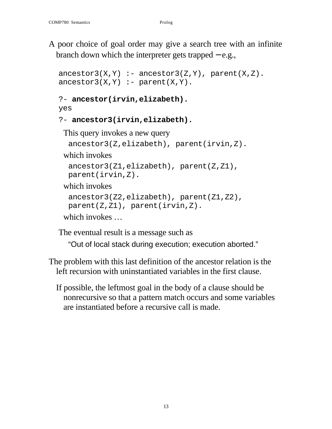A poor choice of goal order may give a search tree with an infinite branch down which the interpreter gets trapped − e.g.,

```
\arccos{or}3(X,Y) :- \arccos{cor}3(Z,Y), \arccos{c}(X,Z).
\arccos{tor3(X,Y)} :- parent(X,Y).
```

```
?- ancestor(irvin,elizabeth).
```
yes

```
?- ancestor3(irvin,elizabeth).
```
This query invokes a new query

```
ancestor3(Z,elizabeth), parent(irvin,Z).
```
which invokes

```
ancestor3(Z1,elizabeth), parent(Z,Z1),
```
parent(irvin,Z).

which invokes

```
ancestor3(Z2,elizabeth), parent(Z1,Z2),
parent(Z,Z1), parent(irvin,Z).
```
which invokes …

The eventual result is a message such as

"Out of local stack during execution; execution aborted."

- The problem with this last definition of the ancestor relation is the left recursion with uninstantiated variables in the first clause.
	- If possible, the leftmost goal in the body of a clause should be nonrecursive so that a pattern match occurs and some variables are instantiated before a recursive call is made.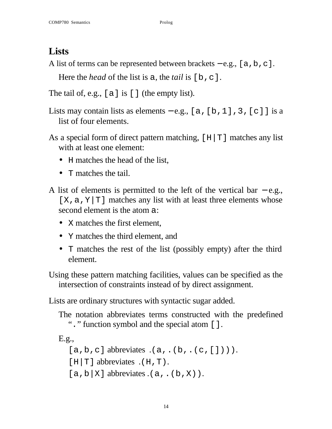## **Lists**

A list of terms can be represented between brackets – e.g., [a,b,c].

Here the *head* of the list is a, the *tail* is [b, c].

The tail of, e.g., [a] is [] (the empty list).

- Lists may contain lists as elements e.g., [a, [b, 1], 3, [c]] is a list of four elements.
- As a special form of direct pattern matching,  $[H|T]$  matches any list with at least one element:
	- H matches the head of the list,
	- T matches the tail.
- A list of elements is permitted to the left of the vertical bar  $-$  e.g.,  $[X, a, Y|T]$  matches any list with at least three elements whose second element is the atom a:
	- X matches the first element.
	- Y matches the third element, and
	- T matches the rest of the list (possibly empty) after the third element.

Using these pattern matching facilities, values can be specified as the intersection of constraints instead of by direct assignment.

Lists are ordinary structures with syntactic sugar added.

The notation abbreviates terms constructed with the predefined "." function symbol and the special atom [].

```
E.g.,
  [a,b,c] abbreviates (a, .(b, .(c,[]))).
  [H|T] abbreviates .(H, T).
  [a, b|X] abbreviates (a, .(b, X)).
```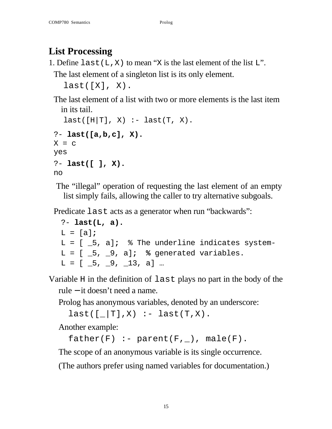# **List Processing**

1. Define last( $L$ ,  $X$ ) to mean "X is the last element of the list  $L$ ".

The last element of a singleton list is its only element.

```
last([X], X).
```
The last element of a list with two or more elements is the last item in its tail.

```
last([H|T], X) :- last(T, X).
?- last([a,b,c], X).
X = Cyes
?- last([ ], X).
no
```
The "illegal" operation of requesting the last element of an empty list simply fails, allowing the caller to try alternative subgoals.

Predicate last acts as a generator when run "backwards":

```
?- last(L, a).
L = [a];
L = [ _5, a]; % The underline indicates system-
L = [ 5, 9, a]; % generated variables.
L = [ 5, 9, 13, a] ...
```
Variable H in the definition of last plays no part in the body of the rule − it doesn't need a name.

Prolog has anonymous variables, denoted by an underscore:

 $last([[-T], X) :- last(T,X)$ .

Another example:

```
father(F) :- parent(F, _), male(F).
```
The scope of an anonymous variable is its single occurrence.

(The authors prefer using named variables for documentation.)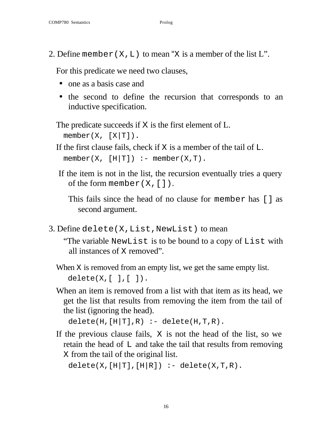2. Define member  $(X, L)$  to mean "X is a member of the list L".

For this predicate we need two clauses,

- one as a basis case and
- the second to define the recursion that corresponds to an inductive specification.

The predicate succeeds if X is the first element of L.  $member(X, [X|T]).$ 

If the first clause fails, check if  $X$  is a member of the tail of  $L$ .  $member(X, [H|T]) :- member(X,T).$ 

If the item is not in the list, the recursion eventually tries a query of the form member  $(X, [])$ .

This fails since the head of no clause for member has [] as second argument.

3. Define delete(X,List,NewList) to mean

"The variable NewList is to be bound to a copy of List with all instances of X removed".

- When X is removed from an empty list, we get the same empty list.  $delete(X, [ ], [ ]).$
- When an item is removed from a list with that item as its head, we get the list that results from removing the item from the tail of the list (ignoring the head).

```
delete(H,[H|T],R) :- delete(H,T,R).
```
If the previous clause fails, X is not the head of the list, so we retain the head of  $\mathbb L$  and take the tail that results from removing X from the tail of the original list.

```
delete(X, [H|T], [H|R]) :- delete(X, T, R).
```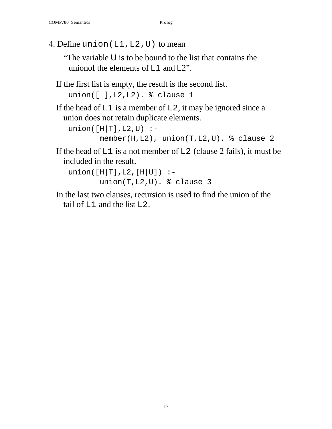4. Define union(L1,L2,U) to mean

"The variable U is to be bound to the list that contains the unionof the elements of L1 and L2".

If the first list is empty, the result is the second list.

```
union([ ],L2,L2). % clause 1
```
If the head of  $L1$  is a member of  $L2$ , it may be ignored since a union does not retain duplicate elements.

```
union([H|T],L2,U) :-
        member(H,L2), union(T,L2,U). % clause 2
```
If the head of  $LI$  is a not member of  $L2$  (clause 2 fails), it must be included in the result.

```
union([H|T],L2,[H|U]) :-
        union(T,L2,U). % clause 3
```
In the last two clauses, recursion is used to find the union of the tail of L1 and the list L2.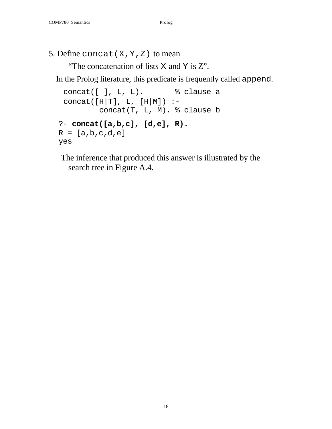#### 5. Define concat  $(X, Y, Z)$  to mean

"The concatenation of lists X and Y is Z".

In the Prolog literature, this predicate is frequently called append.

```
concat([ ], L, L). % clause a
 concat([H|T], L, [H|M]) :-
          concat(T, L, M). % clause b
?- concat([a,b,c], [d,e], R).
R = [a, b, c, d, e]yes
```
The inference that produced this answer is illustrated by the search tree in Figure A.4.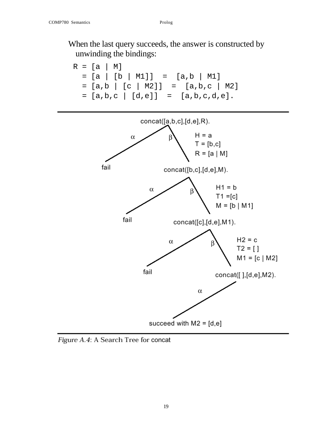When the last query succeeds, the answer is constructed by unwinding the bindings:



Figure A.4: A Search Tree for concat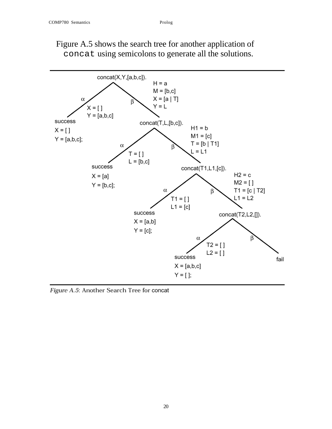

### Figure A.5 shows the search tree for another application of concat using semicolons to generate all the solutions.

Figure A.5: Another Search Tree for concat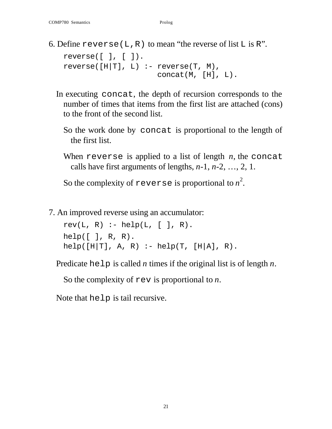6. Define reverse(L,R) to mean "the reverse of list  $L$  is  $R$ ".

```
reverse([ ], [ ]).
reverse([H|T], L) :- reverse(T, M), concat(M, [H], L).
```
- In executing concat, the depth of recursion corresponds to the number of times that items from the first list are attached (cons) to the front of the second list.
	- So the work done by concat is proportional to the length of the first list.
	- When reverse is applied to a list of length *n*, the concat calls have first arguments of lengths, *n*-1, *n*-2, …, 2, 1.

So the complexity of  ${\tt reverse}$  is proportional to  $n^2.$ 

7. An improved reverse using an accumulator:

 $rev(L, R) := help(L, [ ] , R).$ help $([ ]$ , R, R). help( $[H|T]$ , A, R) :- help(T,  $[H|A]$ , R).

Predicate help is called *n* times if the original list is of length *n*.

So the complexity of rev is proportional to *n*.

Note that help is tail recursive.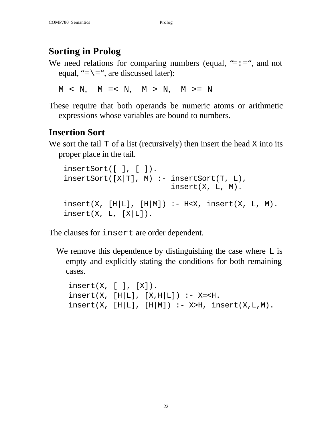# **Sorting in Prolog**

We need relations for comparing numbers (equal,  $\equiv$  :  $=$  ", and not equal, "= $\=$ ", are discussed later):

 $M \leq N$ ,  $M \leq N$ ,  $M \geq N$ ,  $M \geq N$ 

These require that both operands be numeric atoms or arithmetic expressions whose variables are bound to numbers.

## **Insertion Sort**

We sort the tail  $T$  of a list (recursively) then insert the head  $X$  into its proper place in the tail.

```
insertSort([ ], [ ]).
insertSort([X|T], M) :- insertSort(T, L), insert(X, L, M).
insert(X, [H|L], [H|M]) :- H< X, insert(X, L, M).insert(X, L, [X|L]).
```
The clauses for insert are order dependent.

We remove this dependence by distinguishing the case where  $\mathbb{L}$  is empty and explicitly stating the conditions for both remaining cases.

```
insert(X, [ ] , [ X ]).
insert(X, [H|L], [X,H|L]) :- X=< H.insert(X, [H|L], [H|M]) :- X>H, insert(X,L,M).
```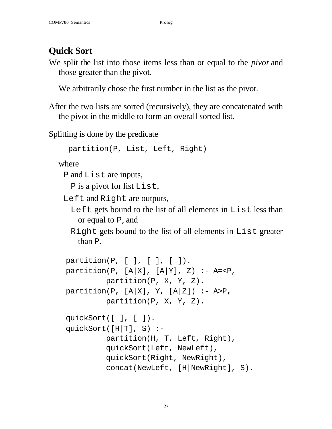# **Quick Sort**

We split the list into those items less than or equal to the *pivot* and those greater than the pivot.

We arbitrarily chose the first number in the list as the pivot.

After the two lists are sorted (recursively), they are concatenated with the pivot in the middle to form an overall sorted list.

Splitting is done by the predicate

```
partition(P, List, Left, Right)
```
where

```
P and List are inputs,
```
P is a pivot for list List,

Left and Right are outputs,

Left gets bound to the list of all elements in List less than or equal to P, and

Right gets bound to the list of all elements in List greater than P.

```
partition(P, [ ], [ ], [ ]).
partition(P, [A|X], [A|Y], Z) :- A=<P,
          partition(P, X, Y, Z).
partition(P, [A|X], Y, [A|Z]) :- A>P,
          partition(P, X, Y, Z).
quickSort([ ], [ ]).
quickSort([H|T], S) :-
          partition(H, T, Left, Right),
          quickSort(Left, NewLeft),
          quickSort(Right, NewRight),
          concat(NewLeft, [H|NewRight], S).
```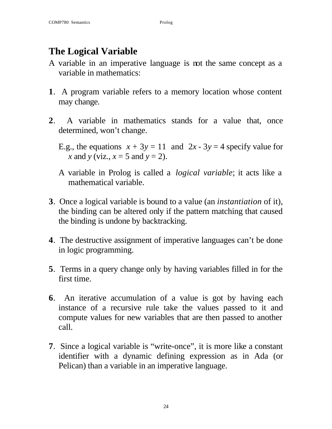## **The Logical Variable**

- A variable in an imperative language is not the same concept as a variable in mathematics:
- **1**. A program variable refers to a memory location whose content may change.
- **2**. A variable in mathematics stands for a value that, once determined, won't change.
	- E.g., the equations  $x + 3y = 11$  and  $2x 3y = 4$  specify value for *x* and *y* (viz.,  $x = 5$  and  $y = 2$ ).
	- A variable in Prolog is called a *logical variable*; it acts like a mathematical variable.
- **3**. Once a logical variable is bound to a value (an *instantiation* of it), the binding can be altered only if the pattern matching that caused the binding is undone by backtracking.
- **4**. The destructive assignment of imperative languages can't be done in logic programming.
- **5**. Terms in a query change only by having variables filled in for the first time.
- **6**. An iterative accumulation of a value is got by having each instance of a recursive rule take the values passed to it and compute values for new variables that are then passed to another call.
- **7**. Since a logical variable is "write-once", it is more like a constant identifier with a dynamic defining expression as in Ada (or Pelican) than a variable in an imperative language.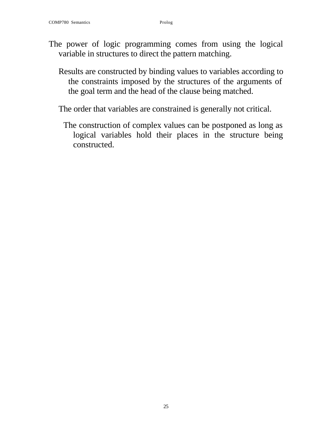- The power of logic programming comes from using the logical variable in structures to direct the pattern matching.
	- Results are constructed by binding values to variables according to the constraints imposed by the structures of the arguments of the goal term and the head of the clause being matched.
	- The order that variables are constrained is generally not critical.
		- The construction of complex values can be postponed as long as logical variables hold their places in the structure being constructed.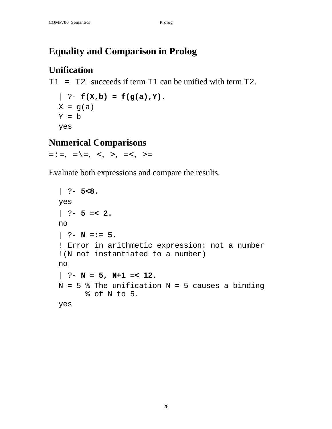# **Equality and Comparison in Prolog**

## **Unification**

T1 = T2 succeeds if term T1 can be unified with term T2.

```
| ? - f(X, b) = f(g(a), Y).X = g(a)Y = byes
```
### **Numerical Comparisons**

 $=:-, = \ = \ =, \ <, >, = <, >=$ 

Evaluate both expressions and compare the results.

```
| ?- 5<8.
yes
| ?- 5 =< 2.
no
| ?- N =:= 5.
! Error in arithmetic expression: not a number
!(N not instantiated to a number)
no
| ?- N = 5, N+1 =< 12.
N = 5 % The unification N = 5 causes a binding
       % of N to 5.
yes
```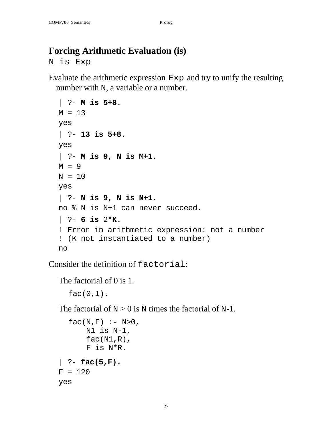## **Forcing Arithmetic Evaluation (is)**

N is Exp

Evaluate the arithmetic expression Exp and try to unify the resulting number with N, a variable or a number.

```
| ?- M is 5+8.
M = 13yes
| ?- 13 is 5+8.
yes
| ?- M is 9, N is M+1.
M = 9N = 10yes
| ?- N is 9, N is N+1.
no % N is N+1 can never succeed.
| ?- 6 is 2*K.
! Error in arithmetic expression: not a number 
! (K not instantiated to a number)
no
```
Consider the definition of factorial:

The factorial of 0 is 1.

 $fac(0,1)$ .

The factorial of  $N > 0$  is N times the factorial of N-1.

```
fac(N,F) :- N>0,
       N1 is N-1,
      fac(N1,R), F is N*R.
| ?- fac(5,F).
F = 120yes
```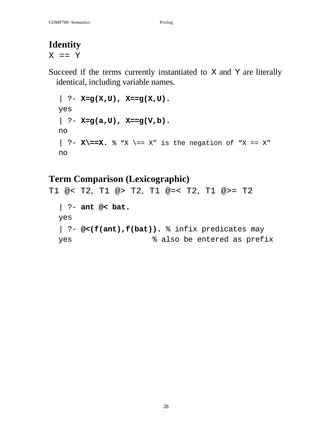## **Identity**

 $X = = Y$ 

Succeed if the terms currently instantiated to X and Y are literally identical, including variable names.

```
| ? - X = g(X,U), X = g(X,U).yes
| ?- X=g(a,U), X==g(V,b).
no
\vert ?- X\==X. \frac{8}{1} "X \== X" is the negation of "X == X"
no
```
## **Term Comparison (Lexicographic)**

```
T1 @< T2, T1 @> T2, T1 @=< T2, T1 @>= T2
  | ?- ant @< bat.
 yes
  | ?- @<(f(ant),f(bat)). % infix predicates may
 yes \frac{1}{8} also be entered as prefix
```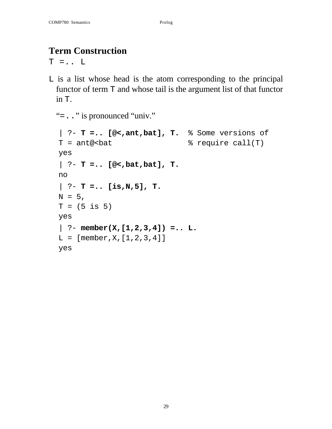## **Term Construction**

 $T = . . . L$ 

L is a list whose head is the atom corresponding to the principal functor of term T and whose tail is the argument list of that functor in T.

```
"=.." is pronounced "univ."
```

```
| ?- T =.. [@<,ant,bat], T. % Some versions of
T = ant@<sub>0</sub> ant@<sub>0</sub> antes the set of \frac{1}{T} antes \frac{1}{T}yes
| ?- T =.. [@<,bat,bat], T.
no
| ?- T =.. [is,N,5], T.
N = 5,
T = (5 \text{ is } 5)yes
| ?- member(X,[1,2,3,4]) =.. L.
L = [member, X, [1, 2, 3, 4]]yes
```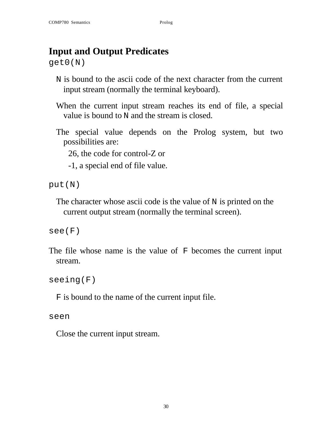## **Input and Output Predicates**

get0(N)

- N is bound to the ascii code of the next character from the current input stream (normally the terminal keyboard).
- When the current input stream reaches its end of file, a special value is bound to N and the stream is closed.
- The special value depends on the Prolog system, but two possibilities are:

26, the code for control-Z or

-1, a special end of file value.

put(N)

The character whose ascii code is the value of N is printed on the current output stream (normally the terminal screen).

see(F)

The file whose name is the value of F becomes the current input stream.

seeing(F)

F is bound to the name of the current input file.

seen

Close the current input stream.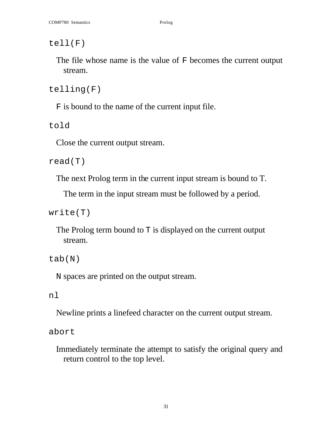tell(F)

The file whose name is the value of F becomes the current output stream.

telling(F)

F is bound to the name of the current input file.

told

Close the current output stream.

read(T)

The next Prolog term in the current input stream is bound to T.

The term in the input stream must be followed by a period.

write(T)

The Prolog term bound to  $T$  is displayed on the current output stream.

tab(N)

N spaces are printed on the output stream.

### nl

Newline prints a linefeed character on the current output stream.

abort

Immediately terminate the attempt to satisfy the original query and return control to the top level.